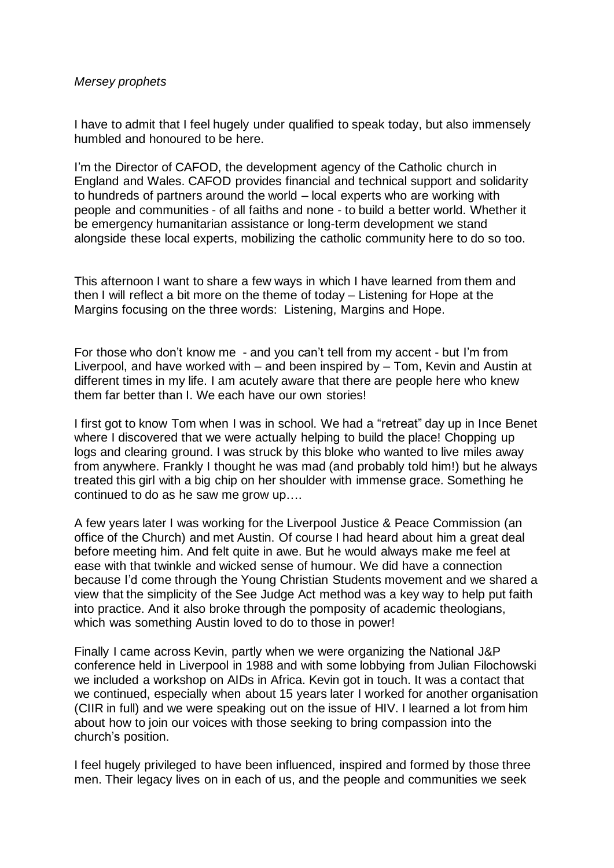## *Mersey prophets*

I have to admit that I feel hugely under qualified to speak today, but also immensely humbled and honoured to be here.

I'm the Director of CAFOD, the development agency of the Catholic church in England and Wales. CAFOD provides financial and technical support and solidarity to hundreds of partners around the world – local experts who are working with people and communities - of all faiths and none - to build a better world. Whether it be emergency humanitarian assistance or long-term development we stand alongside these local experts, mobilizing the catholic community here to do so too.

This afternoon I want to share a few ways in which I have learned from them and then I will reflect a bit more on the theme of today – Listening for Hope at the Margins focusing on the three words: Listening, Margins and Hope.

For those who don't know me - and you can't tell from my accent - but I'm from Liverpool, and have worked with – and been inspired by – Tom, Kevin and Austin at different times in my life. I am acutely aware that there are people here who knew them far better than I. We each have our own stories!

I first got to know Tom when I was in school. We had a "retreat" day up in Ince Benet where I discovered that we were actually helping to build the place! Chopping up logs and clearing ground. I was struck by this bloke who wanted to live miles away from anywhere. Frankly I thought he was mad (and probably told him!) but he always treated this girl with a big chip on her shoulder with immense grace. Something he continued to do as he saw me grow up….

A few years later I was working for the Liverpool Justice & Peace Commission (an office of the Church) and met Austin. Of course I had heard about him a great deal before meeting him. And felt quite in awe. But he would always make me feel at ease with that twinkle and wicked sense of humour. We did have a connection because I'd come through the Young Christian Students movement and we shared a view that the simplicity of the See Judge Act method was a key way to help put faith into practice. And it also broke through the pomposity of academic theologians, which was something Austin loved to do to those in power!

Finally I came across Kevin, partly when we were organizing the National J&P conference held in Liverpool in 1988 and with some lobbying from Julian Filochowski we included a workshop on AIDs in Africa. Kevin got in touch. It was a contact that we continued, especially when about 15 years later I worked for another organisation (CIIR in full) and we were speaking out on the issue of HIV. I learned a lot from him about how to join our voices with those seeking to bring compassion into the church's position.

I feel hugely privileged to have been influenced, inspired and formed by those three men. Their legacy lives on in each of us, and the people and communities we seek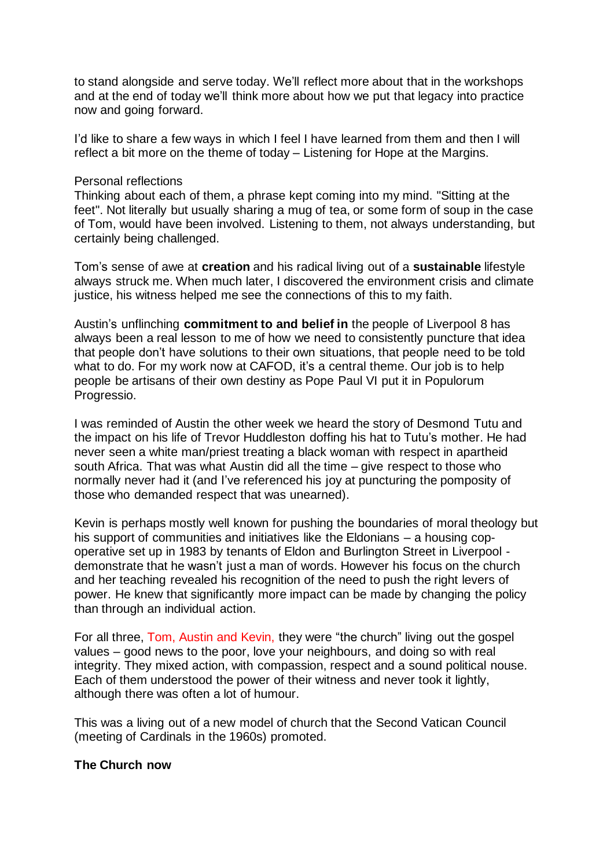to stand alongside and serve today. We'll reflect more about that in the workshops and at the end of today we'll think more about how we put that legacy into practice now and going forward.

I'd like to share a few ways in which I feel I have learned from them and then I will reflect a bit more on the theme of today – Listening for Hope at the Margins.

#### Personal reflections

Thinking about each of them, a phrase kept coming into my mind. "Sitting at the feet". Not literally but usually sharing a mug of tea, or some form of soup in the case of Tom, would have been involved. Listening to them, not always understanding, but certainly being challenged.

Tom's sense of awe at **creation** and his radical living out of a **sustainable** lifestyle always struck me. When much later, I discovered the environment crisis and climate justice, his witness helped me see the connections of this to my faith.

Austin's unflinching **commitment to and belief in** the people of Liverpool 8 has always been a real lesson to me of how we need to consistently puncture that idea that people don't have solutions to their own situations, that people need to be told what to do. For my work now at CAFOD, it's a central theme. Our job is to help people be artisans of their own destiny as Pope Paul VI put it in Populorum Progressio.

I was reminded of Austin the other week we heard the story of Desmond Tutu and the impact on his life of Trevor Huddleston doffing his hat to Tutu's mother. He had never seen a white man/priest treating a black woman with respect in apartheid south Africa. That was what Austin did all the time – give respect to those who normally never had it (and I've referenced his joy at puncturing the pomposity of those who demanded respect that was unearned).

Kevin is perhaps mostly well known for pushing the boundaries of moral theology but his support of communities and initiatives like the Eldonians – a housing copoperative set up in 1983 by tenants of Eldon and Burlington Street in Liverpool demonstrate that he wasn't just a man of words. However his focus on the church and her teaching revealed his recognition of the need to push the right levers of power. He knew that significantly more impact can be made by changing the policy than through an individual action.

For all three, Tom, Austin and Kevin, they were "the church" living out the gospel values – good news to the poor, love your neighbours, and doing so with real integrity. They mixed action, with compassion, respect and a sound political nouse. Each of them understood the power of their witness and never took it lightly, although there was often a lot of humour.

This was a living out of a new model of church that the Second Vatican Council (meeting of Cardinals in the 1960s) promoted.

### **The Church now**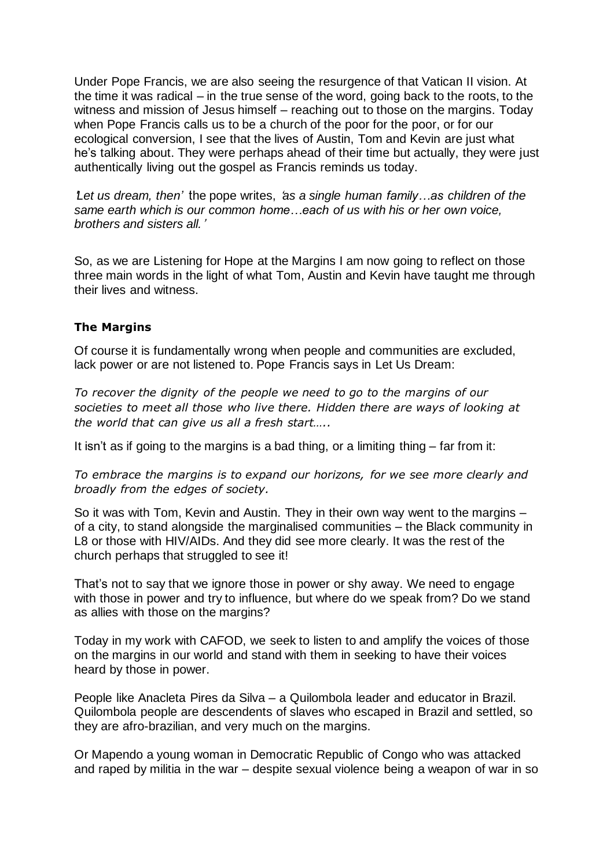Under Pope Francis, we are also seeing the resurgence of that Vatican II vision. At the time it was radical – in the true sense of the word, going back to the roots, to the witness and mission of Jesus himself – reaching out to those on the margins. Today when Pope Francis calls us to be a church of the poor for the poor, or for our ecological conversion, I see that the lives of Austin, Tom and Kevin are just what he's talking about. They were perhaps ahead of their time but actually, they were just authentically living out the gospel as Francis reminds us today.

'*Let us dream, then'* 'the pope writes, '*as a single human family…as children of the same earth which is our common home…each of us with his or her own voice, brothers and sisters all.*'

So, as we are Listening for Hope at the Margins I am now going to reflect on those three main words in the light of what Tom, Austin and Kevin have taught me through their lives and witness.

# **The Margins**

Of course it is fundamentally wrong when people and communities are excluded, lack power or are not listened to. Pope Francis says in Let Us Dream:

*To recover the dignity of the people we need to go to the margins of our societies to meet all those who live there. Hidden there are ways of looking at the world that can give us all a fresh start…..*

It isn't as if going to the margins is a bad thing, or a limiting thing – far from it:

*To embrace the margins is to expand our horizons, for we see more clearly and broadly from the edges of society.* 

So it was with Tom, Kevin and Austin. They in their own way went to the margins – of a city, to stand alongside the marginalised communities – the Black community in L8 or those with HIV/AIDs. And they did see more clearly. It was the rest of the church perhaps that struggled to see it!

That's not to say that we ignore those in power or shy away. We need to engage with those in power and try to influence, but where do we speak from? Do we stand as allies with those on the margins?

Today in my work with CAFOD, we seek to listen to and amplify the voices of those on the margins in our world and stand with them in seeking to have their voices heard by those in power.

People like Anacleta Pires da Silva – a Quilombola leader and educator in Brazil. Quilombola people are descendents of slaves who escaped in Brazil and settled, so they are afro-brazilian, and very much on the margins.

Or Mapendo a young woman in Democratic Republic of Congo who was attacked and raped by militia in the war – despite sexual violence being a weapon of war in so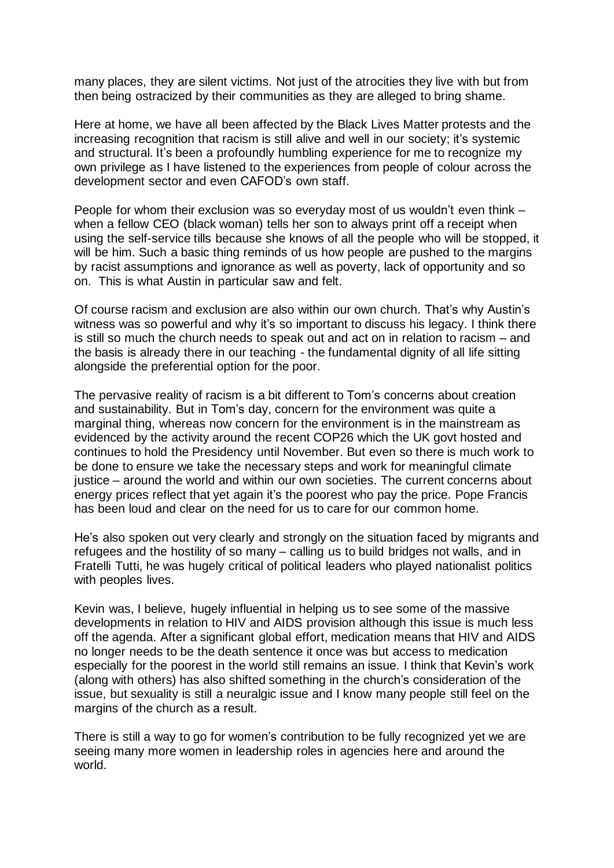many places, they are silent victims. Not just of the atrocities they live with but from then being ostracized by their communities as they are alleged to bring shame.

Here at home, we have all been affected by the Black Lives Matter protests and the increasing recognition that racism is still alive and well in our society; it's systemic and structural. It's been a profoundly humbling experience for me to recognize my own privilege as I have listened to the experiences from people of colour across the development sector and even CAFOD's own staff.

People for whom their exclusion was so everyday most of us wouldn't even think – when a fellow CEO (black woman) tells her son to always print off a receipt when using the self-service tills because she knows of all the people who will be stopped, it will be him. Such a basic thing reminds of us how people are pushed to the margins by racist assumptions and ignorance as well as poverty, lack of opportunity and so on. This is what Austin in particular saw and felt.

Of course racism and exclusion are also within our own church. That's why Austin's witness was so powerful and why it's so important to discuss his legacy. I think there is still so much the church needs to speak out and act on in relation to racism – and the basis is already there in our teaching - the fundamental dignity of all life sitting alongside the preferential option for the poor.

The pervasive reality of racism is a bit different to Tom's concerns about creation and sustainability. But in Tom's day, concern for the environment was quite a marginal thing, whereas now concern for the environment is in the mainstream as evidenced by the activity around the recent COP26 which the UK govt hosted and continues to hold the Presidency until November. But even so there is much work to be done to ensure we take the necessary steps and work for meaningful climate justice – around the world and within our own societies. The current concerns about energy prices reflect that yet again it's the poorest who pay the price. Pope Francis has been loud and clear on the need for us to care for our common home.

He's also spoken out very clearly and strongly on the situation faced by migrants and refugees and the hostility of so many – calling us to build bridges not walls, and in Fratelli Tutti, he was hugely critical of political leaders who played nationalist politics with peoples lives.

Kevin was, I believe, hugely influential in helping us to see some of the massive developments in relation to HIV and AIDS provision although this issue is much less off the agenda. After a significant global effort, medication means that HIV and AIDS no longer needs to be the death sentence it once was but access to medication especially for the poorest in the world still remains an issue. I think that Kevin's work (along with others) has also shifted something in the church's consideration of the issue, but sexuality is still a neuralgic issue and I know many people still feel on the margins of the church as a result.

There is still a way to go for women's contribution to be fully recognized yet we are seeing many more women in leadership roles in agencies here and around the world.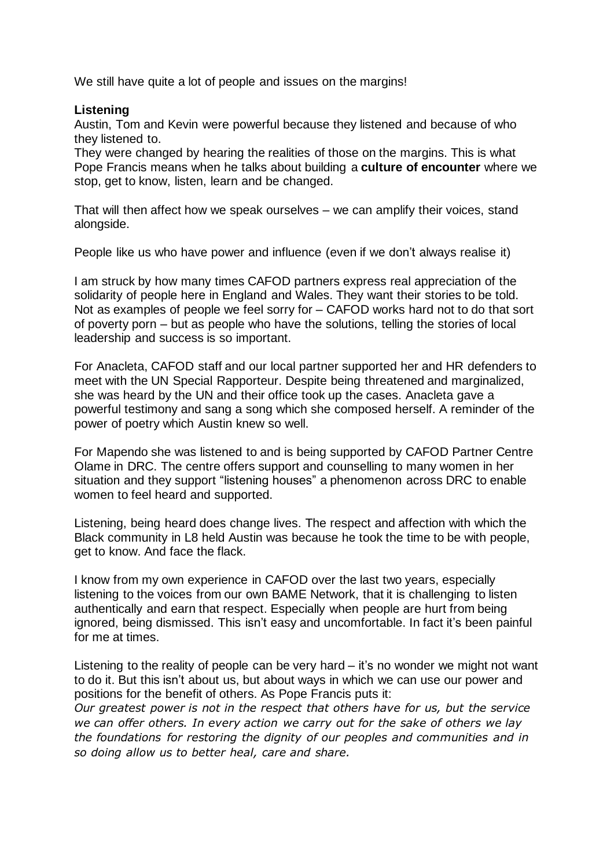We still have quite a lot of people and issues on the margins!

## **Listening**

Austin, Tom and Kevin were powerful because they listened and because of who they listened to.

They were changed by hearing the realities of those on the margins. This is what Pope Francis means when he talks about building a **culture of encounter** where we stop, get to know, listen, learn and be changed.

That will then affect how we speak ourselves – we can amplify their voices, stand alongside.

People like us who have power and influence (even if we don't always realise it)

I am struck by how many times CAFOD partners express real appreciation of the solidarity of people here in England and Wales. They want their stories to be told. Not as examples of people we feel sorry for – CAFOD works hard not to do that sort of poverty porn – but as people who have the solutions, telling the stories of local leadership and success is so important.

For Anacleta, CAFOD staff and our local partner supported her and HR defenders to meet with the UN Special Rapporteur. Despite being threatened and marginalized, she was heard by the UN and their office took up the cases. Anacleta gave a powerful testimony and sang a song which she composed herself. A reminder of the power of poetry which Austin knew so well.

For Mapendo she was listened to and is being supported by CAFOD Partner Centre Olame in DRC. The centre offers support and counselling to many women in her situation and they support "listening houses" a phenomenon across DRC to enable women to feel heard and supported.

Listening, being heard does change lives. The respect and affection with which the Black community in L8 held Austin was because he took the time to be with people, get to know. And face the flack.

I know from my own experience in CAFOD over the last two years, especially listening to the voices from our own BAME Network, that it is challenging to listen authentically and earn that respect. Especially when people are hurt from being ignored, being dismissed. This isn't easy and uncomfortable. In fact it's been painful for me at times.

Listening to the reality of people can be very hard – it's no wonder we might not want to do it. But this isn't about us, but about ways in which we can use our power and positions for the benefit of others. As Pope Francis puts it:

*Our greatest power is not in the respect that others have for us, but the service we can offer others. In every action we carry out for the sake of others we lay the foundations for restoring the dignity of our peoples and communities and in so doing allow us to better heal, care and share.*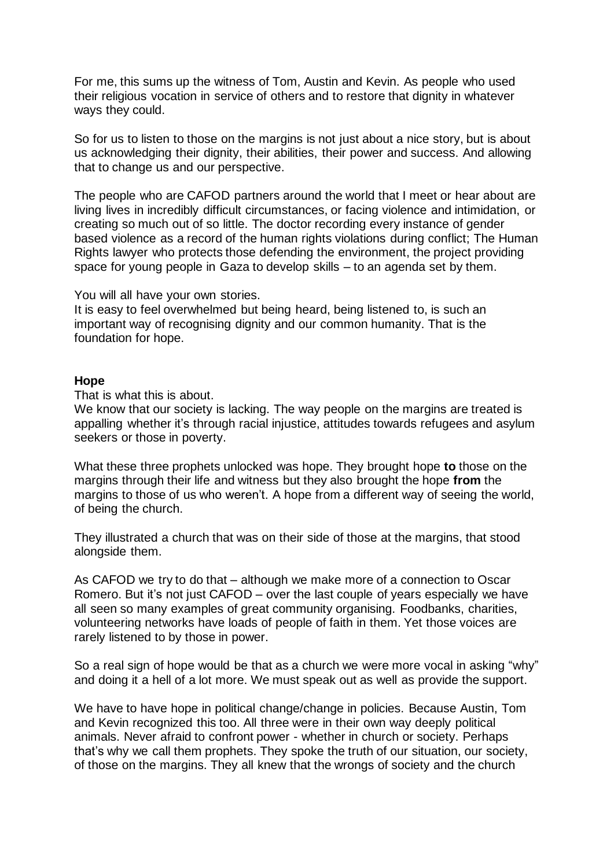For me, this sums up the witness of Tom, Austin and Kevin. As people who used their religious vocation in service of others and to restore that dignity in whatever ways they could.

So for us to listen to those on the margins is not just about a nice story, but is about us acknowledging their dignity, their abilities, their power and success. And allowing that to change us and our perspective.

The people who are CAFOD partners around the world that I meet or hear about are living lives in incredibly difficult circumstances, or facing violence and intimidation, or creating so much out of so little. The doctor recording every instance of gender based violence as a record of the human rights violations during conflict; The Human Rights lawyer who protects those defending the environment, the project providing space for young people in Gaza to develop skills – to an agenda set by them.

You will all have your own stories.

It is easy to feel overwhelmed but being heard, being listened to, is such an important way of recognising dignity and our common humanity. That is the foundation for hope.

#### **Hope**

That is what this is about.

We know that our society is lacking. The way people on the margins are treated is appalling whether it's through racial injustice, attitudes towards refugees and asylum seekers or those in poverty.

What these three prophets unlocked was hope. They brought hope **to** those on the margins through their life and witness but they also brought the hope **from** the margins to those of us who weren't. A hope from a different way of seeing the world, of being the church.

They illustrated a church that was on their side of those at the margins, that stood alongside them.

As CAFOD we try to do that – although we make more of a connection to Oscar Romero. But it's not just CAFOD – over the last couple of years especially we have all seen so many examples of great community organising. Foodbanks, charities, volunteering networks have loads of people of faith in them. Yet those voices are rarely listened to by those in power.

So a real sign of hope would be that as a church we were more vocal in asking "why" and doing it a hell of a lot more. We must speak out as well as provide the support.

We have to have hope in political change/change in policies. Because Austin, Tom and Kevin recognized this too. All three were in their own way deeply political animals. Never afraid to confront power - whether in church or society. Perhaps that's why we call them prophets. They spoke the truth of our situation, our society, of those on the margins. They all knew that the wrongs of society and the church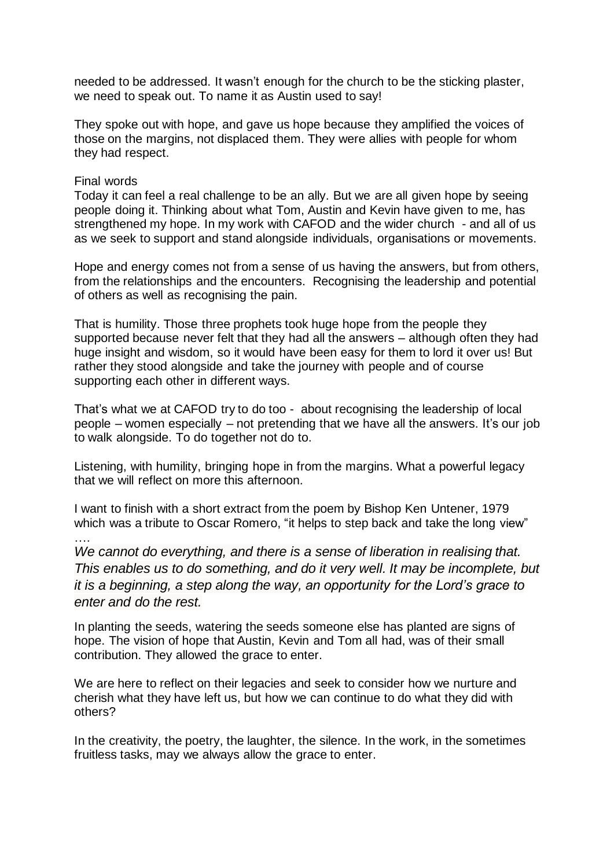needed to be addressed. It wasn't enough for the church to be the sticking plaster, we need to speak out. To name it as Austin used to say!

They spoke out with hope, and gave us hope because they amplified the voices of those on the margins, not displaced them. They were allies with people for whom they had respect.

### Final words

….

Today it can feel a real challenge to be an ally. But we are all given hope by seeing people doing it. Thinking about what Tom, Austin and Kevin have given to me, has strengthened my hope. In my work with CAFOD and the wider church - and all of us as we seek to support and stand alongside individuals, organisations or movements.

Hope and energy comes not from a sense of us having the answers, but from others, from the relationships and the encounters. Recognising the leadership and potential of others as well as recognising the pain.

That is humility. Those three prophets took huge hope from the people they supported because never felt that they had all the answers – although often they had huge insight and wisdom, so it would have been easy for them to lord it over us! But rather they stood alongside and take the journey with people and of course supporting each other in different ways.

That's what we at CAFOD try to do too - about recognising the leadership of local people – women especially – not pretending that we have all the answers. It's our job to walk alongside. To do together not do to.

Listening, with humility, bringing hope in from the margins. What a powerful legacy that we will reflect on more this afternoon.

I want to finish with a short extract from the poem by Bishop Ken Untener, 1979 which was a tribute to Oscar Romero, "it helps to step back and take the long view"

*We cannot do everything, and there is a sense of liberation in realising that. This enables us to do something, and do it very well. It may be incomplete, but it is a beginning, a step along the way, an opportunity for the Lord's grace to enter and do the rest.*

In planting the seeds, watering the seeds someone else has planted are signs of hope. The vision of hope that Austin, Kevin and Tom all had, was of their small contribution. They allowed the grace to enter.

We are here to reflect on their legacies and seek to consider how we nurture and cherish what they have left us, but how we can continue to do what they did with others?

In the creativity, the poetry, the laughter, the silence. In the work, in the sometimes fruitless tasks, may we always allow the grace to enter.